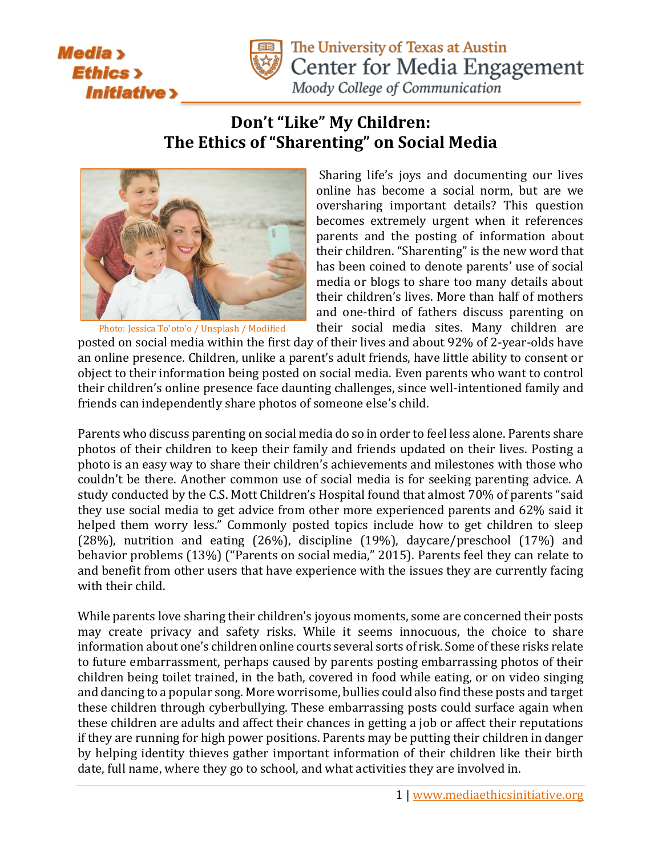



The University of Texas at Austin Center for Media Engagement

Moody College of Communication

## **Don't "Like" My Children: The Ethics of "Sharenting" on Social Media**



Photo[: Jessica To'oto'o](https://unsplash.com/photos/t7cavZbTzvk?utm_source=unsplash&utm_medium=referral&utm_content=creditCopyText) / [Unsplash](https://unsplash.com/?utm_source=unsplash&utm_medium=referral&utm_content=creditCopyText) / Modified

Sharing life's joys and documenting our lives online has become a social norm, but are we oversharing important details? This question becomes extremely urgent when it references parents and the posting of information about their children. "Sharenting" is the new word that has been coined to denote parents' use of social media or blogs to share too many details about their children's lives. More than half of mothers and one-third of fathers discuss parenting on their social media sites. Many children are

posted on social media within the first day of their lives and about 92% of 2-year-olds have an online presence. Children, unlike a parent's adult friends, have little ability to consent or object to their information being posted on social media. Even parents who want to control their children's online presence face daunting challenges, since well-intentioned family and friends can independently share photos of someone else's child.

Parents who discuss parenting on social media do so in order to feel less alone. Parents share photos of their children to keep their family and friends updated on their lives. Posting a photo is an easy way to share their children's achievements and milestones with those who couldn't be there. Another common use of social media is for seeking parenting advice. A study conducted by the C.S. Mott Children's Hospital found that almost 70% of parents "said they use social media to get advice from other more experienced parents and 62% said it helped them worry less." Commonly posted topics include how to get children to sleep (28%), nutrition and eating (26%), discipline (19%), daycare/preschool (17%) and behavior problems (13%) ("Parents on social media," 2015). Parents feel they can relate to and benefit from other users that have experience with the issues they are currently facing with their child.

While parents love sharing their children's joyous moments, some are concerned their posts may create privacy and safety risks. While it seems innocuous, the choice to share information about one's children online courts several sorts of risk. Some of these risks relate to future embarrassment, perhaps caused by parents posting embarrassing photos of their children being toilet trained, in the bath, covered in food while eating, or on video singing and dancing to a popular song. More worrisome, bullies could also find these posts and target these children through cyberbullying. These embarrassing posts could surface again when these children are adults and affect their chances in getting a job or affect their reputations if they are running for high power positions. Parents may be putting their children in danger by helping identity thieves gather important information of their children like their birth date, full name, where they go to school, and what activities they are involved in.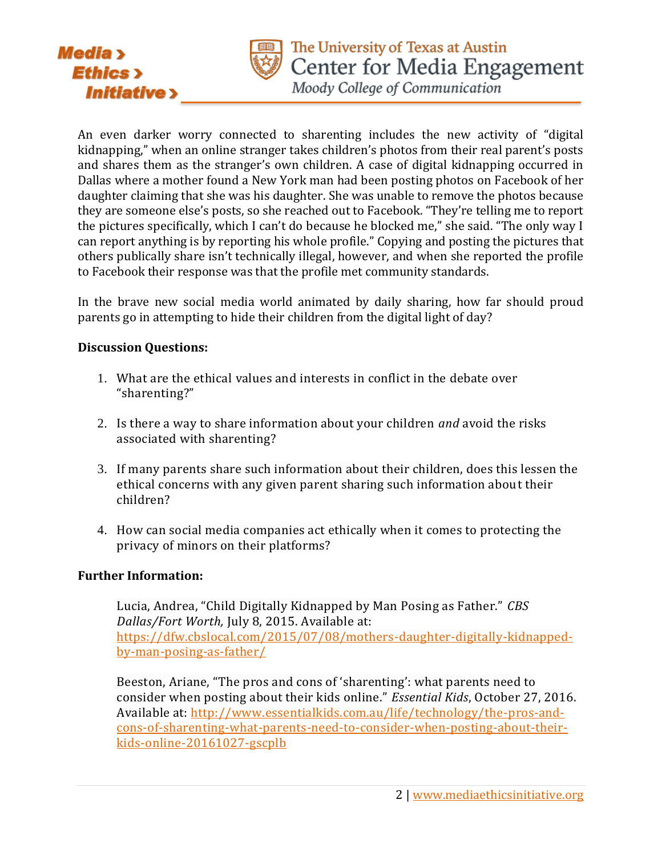

Moody College of Communication

An even darker worry connected to sharenting includes the new activity of "digital kidnapping," when an online stranger takes children's photos from their real parent's posts and shares them as the stranger's own children. A case of digital kidnapping occurred in Dallas where a mother found a New York man had been posting photos on Facebook of her daughter claiming that she was his daughter. She was unable to remove the photos because they are someone else's posts, so she reached out to Facebook. "They're telling me to report the pictures specifically, which I can't do because he blocked me," she said. "The only way I can report anything is by reporting his whole profile." Copying and posting the pictures that others publically share isn't technically illegal, however, and when she reported the profile to Facebook their response was that the profile met community standards.

In the brave new social media world animated by daily sharing, how far should proud parents go in attempting to hide their children from the digital light of day?

## **Discussion Questions:**

**Media** >

**Ethics** 

**Initiative >** 

- 1. What are the ethical values and interests in conflict in the debate over "sharenting?"
- 2. Is there a way to share information about your children *and* avoid the risks associated with sharenting?
- 3. If many parents share such information about their children, does this lessen the ethical concerns with any given parent sharing such information about their children?
- 4. How can social media companies act ethically when it comes to protecting the privacy of minors on their platforms?

## **Further Information:**

Lucia, Andrea, "Child Digitally Kidnapped by Man Posing as Father." *CBS Dallas/Fort Worth,* July 8, 2015. Available at: [https://dfw.cbslocal.com/2015/07/08/mothers-daughter-digitally-kidnapped](https://dfw.cbslocal.com/2015/07/08/mothers-daughter-digitally-kidnapped-by-man-posing-as-father/)[by-man-posing-as-father/](https://dfw.cbslocal.com/2015/07/08/mothers-daughter-digitally-kidnapped-by-man-posing-as-father/)

Beeston, Ariane, "The pros and cons of 'sharenting': what parents need to consider when posting about their kids online." *Essential Kids*, October 27, 2016. Available at: [http://www.essentialkids.com.au/life/technology/the-pros-and](http://www.essentialkids.com.au/life/technology/the-pros-and-cons-of-sharenting-what-parents-need-to-consider-when-posting-about-their-kids-online-20161027-gscplb)[cons-of-sharenting-what-parents-need-to-consider-when-posting-about-their](http://www.essentialkids.com.au/life/technology/the-pros-and-cons-of-sharenting-what-parents-need-to-consider-when-posting-about-their-kids-online-20161027-gscplb)[kids-online-20161027-gscplb](http://www.essentialkids.com.au/life/technology/the-pros-and-cons-of-sharenting-what-parents-need-to-consider-when-posting-about-their-kids-online-20161027-gscplb)